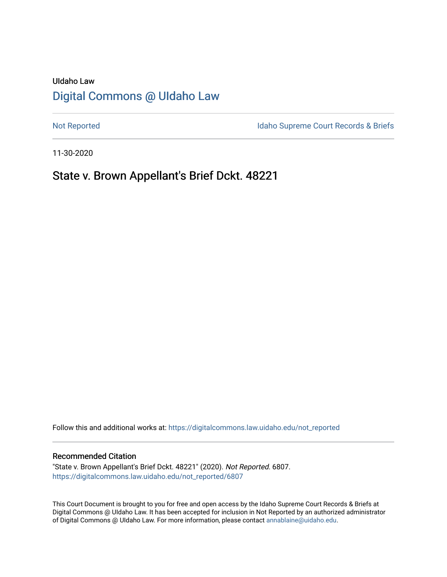# UIdaho Law [Digital Commons @ UIdaho Law](https://digitalcommons.law.uidaho.edu/)

[Not Reported](https://digitalcommons.law.uidaho.edu/not_reported) **Idaho Supreme Court Records & Briefs** 

11-30-2020

# State v. Brown Appellant's Brief Dckt. 48221

Follow this and additional works at: [https://digitalcommons.law.uidaho.edu/not\\_reported](https://digitalcommons.law.uidaho.edu/not_reported?utm_source=digitalcommons.law.uidaho.edu%2Fnot_reported%2F6807&utm_medium=PDF&utm_campaign=PDFCoverPages) 

## Recommended Citation

"State v. Brown Appellant's Brief Dckt. 48221" (2020). Not Reported. 6807. [https://digitalcommons.law.uidaho.edu/not\\_reported/6807](https://digitalcommons.law.uidaho.edu/not_reported/6807?utm_source=digitalcommons.law.uidaho.edu%2Fnot_reported%2F6807&utm_medium=PDF&utm_campaign=PDFCoverPages)

This Court Document is brought to you for free and open access by the Idaho Supreme Court Records & Briefs at Digital Commons @ UIdaho Law. It has been accepted for inclusion in Not Reported by an authorized administrator of Digital Commons @ UIdaho Law. For more information, please contact [annablaine@uidaho.edu](mailto:annablaine@uidaho.edu).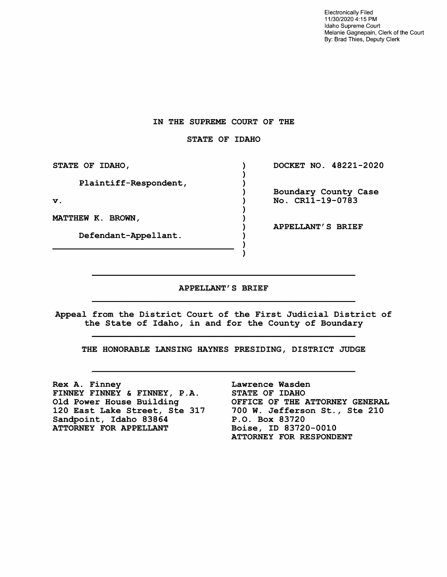Electronically Filed 11/30/2020 4: 15 PM Idaho Supreme Court Melanie Gagnepain, Clerk of the Court By: Brad Thies, Deputy Clerk

## **IN THE SUPREME COURT OF THE**

## **STATE OF IDAHO**

**STATE OF IDAHO, DOCKET NO. 48221-2020**   $\lambda$ -1 Plaintiff-Respondent,  $\lambda$ Boundary County Case  $\lambda$ No. CRll-19-0783 **V.**   $\lambda$ ) **MATTHEW K. BROWN, APPELLANT'S BRIEF**  Defendant-Appellant.

#### **APPELLANT'S BRIEF**

<sup>)</sup>

Appeal from the District Court of the First Judicial District of the State of Idaho, in and for the County of Boundary

THE HONORABLE LANSING HAYNES PRESIDING, DISTRICT JUDGE

**Rex A.** Finney **FINNEY FINNEY** & **FINNEY, P.A.**  Old Power House Building 120 East Lake Street, Ste 317 Sandpoint, Idaho 83864 **ATTORNEY FOR APPELLANT** 

Lawrence Wasden STATE OF IDAHO OFFICE OF THE ATTORNEY GENERAL 700 W. Jefferson St., Ste 210 P.O. Box 83720 Boise, ID 83720-0010 ATTORNEY FOR RESPONDENT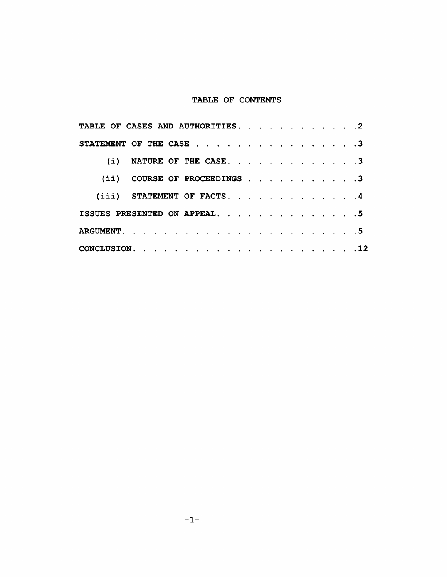## TABLE OF CONTENTS

| TABLE OF CASES AND AUTHORITIES. 2                                           |  |  |  |  |  |  |
|-----------------------------------------------------------------------------|--|--|--|--|--|--|
| STATEMENT OF THE CASE $\ldots$ $\ldots$ $\ldots$ $\ldots$ $\ldots$ $\ldots$ |  |  |  |  |  |  |
| (i) NATURE OF THE CASE. 3                                                   |  |  |  |  |  |  |
| COURSE OF PROCEEDINGS 3<br>(iii)                                            |  |  |  |  |  |  |
| $(iii)$ STATEMENT OF FACTS. 4                                               |  |  |  |  |  |  |
| ISSUES PRESENTED ON APPEAL. 5                                               |  |  |  |  |  |  |
|                                                                             |  |  |  |  |  |  |
|                                                                             |  |  |  |  |  |  |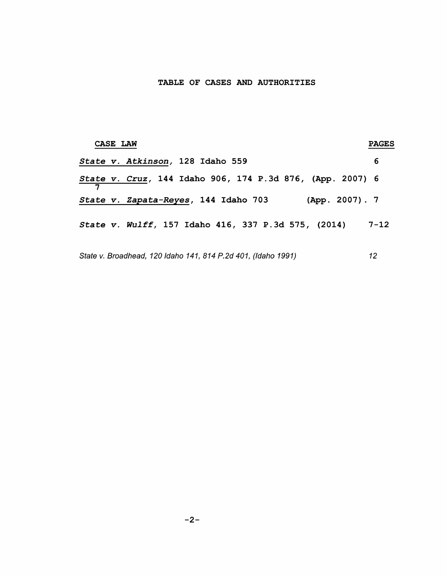## TABLE OF CASES AND AUTHORITIES

| <b>CASE LAW</b>                                               | <b>PAGES</b> |
|---------------------------------------------------------------|--------------|
| State v. Atkinson, 128 Idaho 559                              | 6            |
| State v. Cruz, 144 Idaho 906, 174 P.3d 876, (App. 2007) 6     |              |
| (App. 2007). 7<br>State v. Zapata-Reyes, 144 Idaho 703        |              |
| State v. Wulff, 157 Idaho 416, 337 P.3d 575, (2014)           | $7 - 12$     |
| State v. Broadhead, 120 Idaho 141, 814 P.2d 401, (Idaho 1991) | 12           |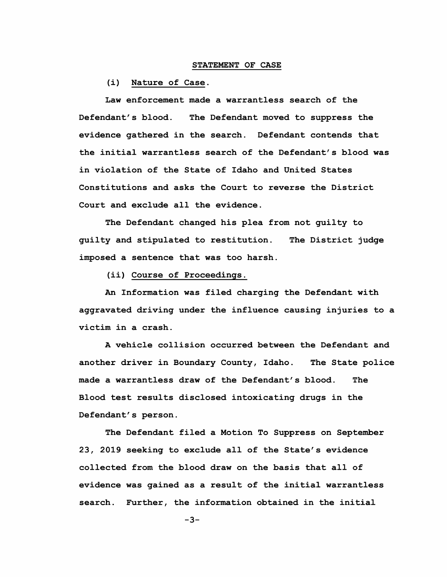### STATEMENT OF CASE

(i) Nature of Case.

Law enforcement made a warrantless search of the Defendant's blood. The Defendant moved to suppress the evidence gathered in the search. Defendant contends that the initial warrantless search of the Defendant's blood was in violation of the State of Idaho and United States Constitutions and asks the Court to reverse the District Court and exclude all the evidence.

The Defendant changed his plea from not guilty to guilty and stipulated to restitution. imposed a sentence that was too harsh. The District judge

(ii) Course of Proceedings.

An Information was filed charging the Defendant with aggravated driving under the influence causing injuries to a victim in a crash.

A vehicle collision occurred between the Defendant and another driver in Boundary County, Idaho. The State police made a warrantless draw of the Defendant's blood. The Blood test results disclosed intoxicating drugs in the Defendant's person.

The Defendant filed a Motion To Suppress on September 23, 2019 seeking to exclude all of the State's evidence collected from the blood draw on the basis that all of evidence was gained as a result of the initial warrantless search. Further, the information obtained in the initial

-3-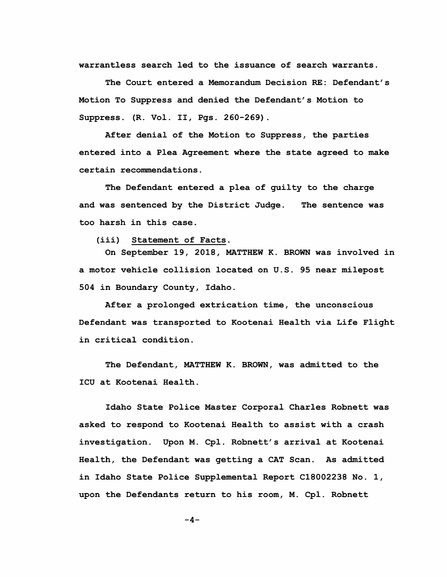warrantless search led to the issuance of search warrants.

The Court entered a Memorandum Decision RE: Defendant's Motion To Suppress and denied the Defendant's Motion to Suppress. (R. Vol. II, Pgs. 260-269).

After denial of the Motion to Suppress, the parties entered into a Plea Agreement where the state agreed to make certain recommendations.

The Defendant entered a plea of guilty to the charge and was sentenced by the District Judge. The sentence was too harsh in this case.

(iii) Statement of Facts.

On September 19, 2018, MATTHEW K. BROWN was involved in a motor vehicle collision located on U.S. 95 near milepost 504 in Boundary County, Idaho.

After a prolonged extrication time, the unconscious Defendant was transported to Kootenai Health via Life Flight in critical condition.

The Defendant, MATTHEW K. BROWN, was admitted to the ICU at Kootenai Health.

Idaho State Police Master Corporal Charles Robnett was asked to respond to Kootenai Health to assist with a crash investigation. Upon M. Cpl. Robnett's arrival at Kootenai Health, the Defendant was getting a CAT Scan. As admitted in Idaho State Police Supplemental Report C18002238 No. 1, upon the Defendants return to his room, M. Cpl. Robnett

 $-4-$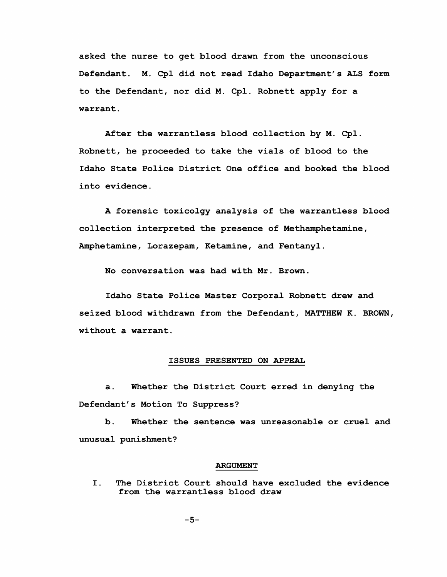asked the nurse to get blood drawn from the unconscious Defendant. M. Cpl did not read Idaho Department's ALS form to the Defendant, nor did M. Cpl. Robnett apply for a warrant.

After the warrantless blood collection by M. Cpl. Robnett, he proceeded to take the vials of blood to the Idaho State Police District One office and booked the blood into evidence.

A forensic toxicolgy analysis of the warrantless blood collection interpreted the presence of Methamphetamine, Amphetamine, Lorazepam, Ketamine, and Fentanyl.

No conversation was had with Mr. Brown.

Idaho State Police Master Corporal Robnett drew and seized blood withdrawn from the Defendant, MATTHEW K. BROWN, without a warrant.

## ISSUES PRESENTED ON APPEAL

a. Whether the District Court erred in denying the Defendant's Motion To Suppress?

b. Whether the sentence was unreasonable or cruel and unusual punishment?

### **ARGUMENT**

I. The District Court should have excluded the evidence from the warrantless blood draw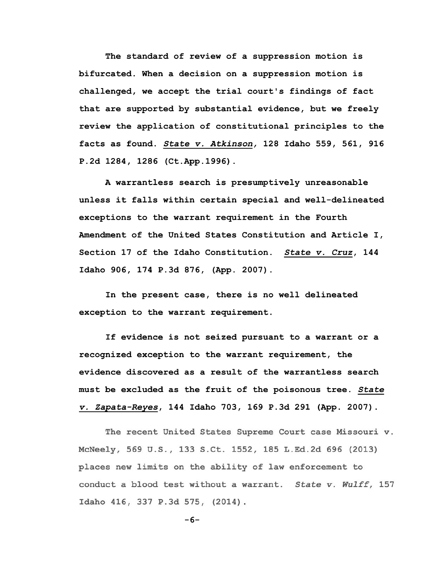The standard of review of a suppression motion is bifurcated. When a decision on a suppression motion is challenged, we accept the trial court's findings of fact that are supported by substantial evidence, but we freely review the application of constitutional principles to the facts as found. *State v. Atkinson,* 128 Idaho 559, 561, 916 P.2d 1284, 1286 (Ct.App.1996).

A warrantless search is presumptively unreasonable unless it falls within certain special and well-delineated exceptions to the warrant requirement in the Fourth Amendment of the United States Constitution and Article I, Section 17 of the Idaho Constitution. *State v. Cruz,* 144 Idaho 906, 174 P.3d 876, **(App.** 2007).

In the present case, there is no well delineated exception to the warrant requirement.

If evidence is not seized pursuant to a warrant or a recognized exception to the warrant requirement, the evidence discovered as a result of the warrantless search must be excluded as the fruit of the poisonous tree. *State v. Zapata-Reyes,* 144 Idaho 703, 169 P.3d 291 (App. 2007).

The recent United States Supreme Court case Missouri v. McNeely, 569 U.S., 133 S.Ct. 1552, 185 L.Ed.2d 696 (2013) places new limits on the ability of law enforcement to conduct a blood test without a warrant. *State v. Wulff,* 157 Idaho 416, 337 P.3d 575, (2014) .

$$
-6-
$$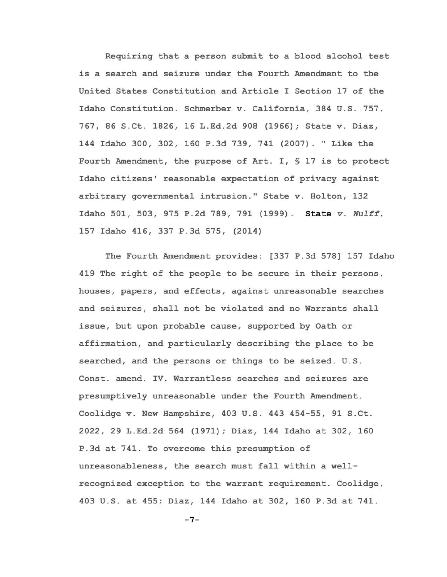Requiring that a person submit to a blood alcohol test is a search and seizure under the Fourth Amendment to the United States Constitution and Article I Section 17 of the Idaho Constitution. Schmerber v. California, 384 U.S. 757, 767, 86 S.Ct. 1826, 16 L.Ed.2d 908 (1966); State v. Diaz, 144 Idaho 300, 302, 160 P.3d 739, 741 (2007). "Like the Fourth Amendment, the purpose of Art. I,§ 17 is to protect Idaho citizens' reasonable expectation of privacy against arbitrary governmental intrusion." State v. Holton, 132 Idaho 501, 503, 975 P.2d 789, 791 (1999) . State *v. Wulff,*  157 Idaho 416, 337 P.3d 575, (2014)

The Fourth Amendment provides: [337 P.3d 578] 157 Idaho 419 The right of the people to be secure in their persons, houses, papers, and effects, against unreasonable searches and seizures, shall not be violated and no Warrants shall issue, but upon probable cause, supported by Oath or affirmation, and particularly describing the place to be searched, and the persons or things to be seized. U.S. Const. amend. IV. Warrantless searches and seizures are presumptively unreasonable under the Fourth Amendment. Coolidge v. New Hampshire, 403 U.S. 443 454-55, 91 S.Ct. 2022, 29 L.Ed.2d 564 (1971); Diaz, 144 Idaho at 302, 160 P.3d at 741. To overcome this presumption of unreasonableness, the search must fall within a wellrecognized exception to the warrant requirement. Coolidge, 403 U.S. at 455; Diaz, 144 Idaho at 302, 160 P.3d at 741.

```
-7-
```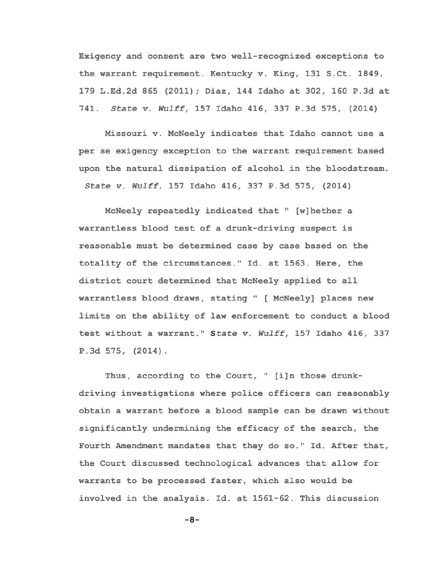Exigency and consent are two well-recognized exceptions to the warrant requirement. Kentucky v. King, 131 S.Ct. 1849, 179 L.Ed.2d 865 (2011); Diaz, 144 Idaho at 302, 160 P.3d at 741. *State v. Wulff,* 157 Idaho 416, 337 P.3d 575, (2014)

Missouri v. McNeely indicates that Idaho cannot use a per se exigency exception to the warrant requirement based upon the natural dissipation of alcohol in the bloodstream. *State v. Wulff,* 157 Idaho 416, 337 P.3d 575, (2014)

McNeely repeatedly indicated that" [w]hether a warrantless blood test of a drunk-driving suspect is reasonable must be determined case by case based on the totality of the circumstances." Id. at 1563. Here, the district court determined that McNeely applied to all warrantless blood draws, stating" [ McNeely] places new limits on the ability of law enforcement to conduct a blood test without a warrant." *<sup>S</sup> tate v. Wulff,* 157 Idaho 416, 337 P. 3d 575, (2014) .

Thus, according to the Court, " [i]n those drunkdriving investigations where police officers can reasonably obtain a warrant before a blood sample can be drawn without significantly undermining the efficacy of the search, the Fourth Amendment mandates that they do so." Id. After that, the Court discussed technological advances that allow for warrants to be processed faster, which also would be involved in the analysis. Id. at 1561-62. This discussion

 $-8-$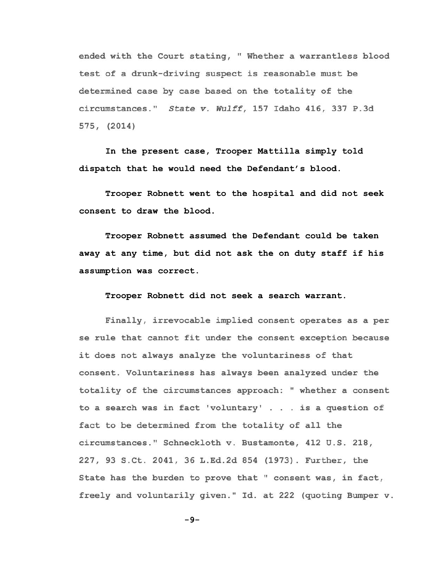ended with the Court stating, "Whether a warrantless blood test of a drunk-driving suspect is reasonable must be determined case by case based on the totality of the circumstances." *State v. Wulff,* 157 Idaho 416, 337 P.3d 575, (2014)

In the present case, Trooper Mattilla simply told dispatch that he would need the Defendant's blood.

Trooper Robnett went to the hospital and did not seek consent to draw the blood.

Trooper Robnett assumed the Defendant could be taken away at any time, but did not ask the on duty staff if his assumption was correct.

Trooper Robnett did not seek a search warrant.

Finally, irrevocable implied consent operates as a per se rule that cannot fit under the consent exception because it does not always analyze the voluntariness of that consent. Voluntariness has always been analyzed under the totality of the circumstances approach: "whether a consent to a search was in fact 'voluntary' ... is a question of fact to be determined from the totality of all the circumstances." Schneckloth v. Bustamente, 412 U.S. 218, 227, 93 S.Ct. 2041, 36 L.Ed.2d 854 (1973). Further, the State has the burden to prove that " consent was, in fact, freely and voluntarily given." Id. at 222 (quoting Bumper v.

-9-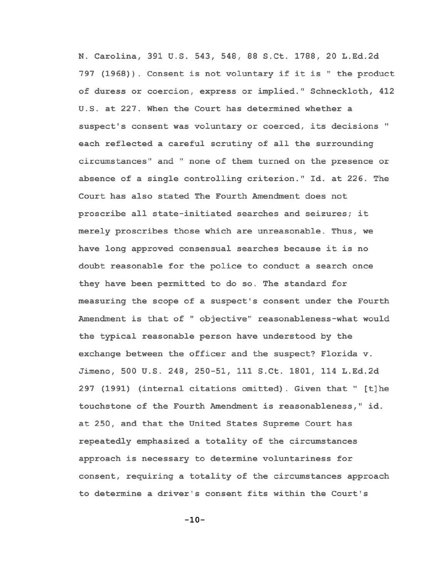N. Carolina, 391 U.S. 543, 548, 88 S.Ct. 1788, 20 L.Ed.2d 797 (1968)). Consent is not voluntary if it is" the product of duress or coercion, express or implied." Schneckloth, 412 U.S. at 227. When the Court has determined whether a suspect's consent was voluntary or coerced, its decisions" each reflected a careful scrutiny of all the surrounding circumstances" and" none of them turned on the presence or absence of a single controlling criterion." Id. at 226. The Court has also stated The Fourth Amendment does not proscribe all state-initiated searches and seizures; it merely proscribes those which are unreasonable. Thus, we have long approved consensual searches because it is no doubt reasonable for the police to conduct a search once they have been permitted to do so. The standard for measuring the scope of a suspect's consent under the Fourth Amendment is that of" objective" reasonableness-what would the typical reasonable person have understood by the exchange between the officer and the suspect? Florida v. Jimeno, 500 U.S. 248, 250-51, 111 S.Ct. 1801, 114 L.Ed.2d 297 (1991) (internal citations omitted). Given that" [t]he touchstone of the Fourth Amendment is reasonableness," id. at 250, and that the United States Supreme Court has repeatedly emphasized a totality of the circumstances approach is necessary to determine voluntariness for consent, requiring a totality of the circumstances approach to determine a driver's consent fits within the Court's

 $-10-$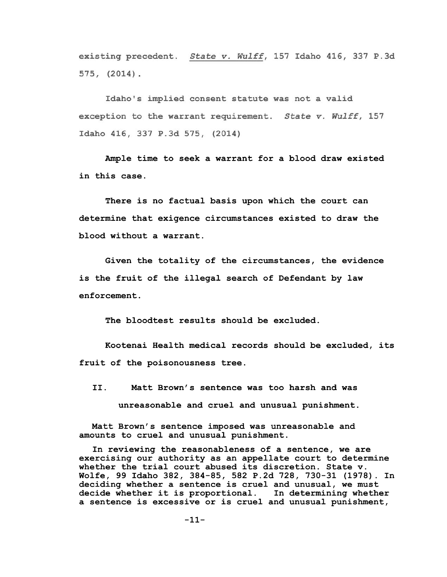existing precedent. *State v. Wulff,* 157 Idaho 416, 337 P.3d 575, (2014) .

Idaho's implied consent statute was not a valid exception to the warrant requirement. *State v. Wulff,* 157 Idaho 416, 337 P.3d 575, (2014)

Ample time to seek a warrant for a blood draw existed in this case.

There is no factual basis upon which the court can determine that exigence circumstances existed to draw the blood without a warrant.

Given the totality of the circumstances, the evidence is the fruit of the illegal search of Defendant by law enforcement.

The bloodtest results should be excluded.

Kootenai Health medical records should be excluded, its fruit of the poisonousness tree.

II. Matt Brown's sentence was too harsh and was unreasonable and cruel and unusual punishment.

Matt Brown's sentence imposed was unreasonable and amounts to cruel and unusual punishment.

In reviewing the reasonableness of a sentence, we are exercising our authority as an appellate court to determine whether the trial court abused its discretion. State v. Wolfe, 99 Idaho 382, 384-85, 582 P.2d 728, 730-31 (1978). In deciding whether a sentence is cruel and unusual, we must decide whether it is proportional. In determining whether a sentence is excessive or is cruel and unusual punishment,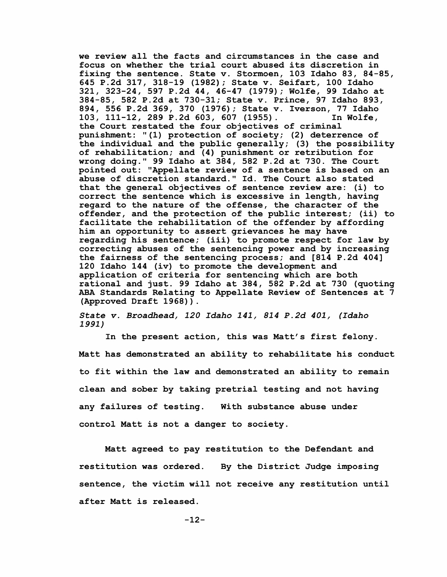we review all the facts and circumstances in the case and focus on whether the trial court abused its discretion in fixing the sentence. State v. Stormoen, 103 Idaho 83, 84-85, 645 P.2d 317, 318-19 (1982); State v. Seifart, 100 Idaho 321, 323-24, 597 P.2d 44, 46-47 (1979); Wolfe, 99 Idaho at 384-85, 582 P.2d at 730-31; State v. Prince, 97 Idaho 893, 894, 556 P.2d 369, 370 (1976); State v. Iverson, 77 Idaho 103, 111-12, 289 P.2d 603, 607 (1955). the Court restated the four objectives of criminal punishment: "(1) protection of society; (2) deterrence of the individual and the public generally; (3) the possibility of rehabilitation; and (4) punishment or retribution for wrong doing.'' 99 Idaho at 384, 582 P.2d at 730. The Court pointed out: "Appellate review of a sentence is based on an abuse of discretion standard." Id. The Court also stated that the general objectives of sentence review are: (i) to correct the sentence which is excessive in length, having regard to the nature of the offense, the character of the offender, and the protection of the public interest; (ii) to facilitate the rehabilitation of the offender by affording him an opportunity to assert grievances he may have regarding his sentence; (iii) to promote respect for law by correcting abuses of the sentencing power and by increasing the fairness of the sentencing process; and [814 P.2d 404] 120 Idaho 144 (iv) to promote the development and application of criteria for sentencing which are both rational and just. 99 Idaho at 384, 582 P.2d at 730 (quoting ABA Standards Relating to Appellate Review of Sentences at 7 (Approved Draft 1968)).

*State v. Broadhead, 120 Idaho 141, 814 P.2d 401, (Idaho 1991)* 

In the present action, this was Matt's first felony. Matt has demonstrated an ability to rehabilitate his conduct to fit within the law and demonstrated an ability to remain clean and sober by taking pretrial testing and not having any failures of testing. With substance abuse under control Matt is not a danger to society.

Matt agreed to pay restitution to the Defendant and restitution was ordered. By the District Judge imposing sentence, the victim will not receive any restitution until after Matt is released.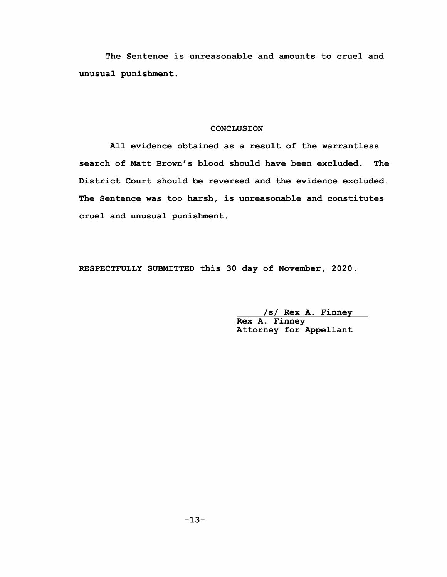The Sentence is unreasonable and amounts to cruel and unusual punishment.

## CONCLUSION

All evidence obtained as a result of the warrantless search of Matt Brown's blood should have been excluded. The District Court should be reversed and the evidence excluded. The Sentence was too harsh, is unreasonable and constitutes cruel and unusual punishment.

RESPECTFULLY SUBMITTED this 30 day of November, 2020.

/s/ Rex A. Finney Rex A. Finney Attorney for Appellant